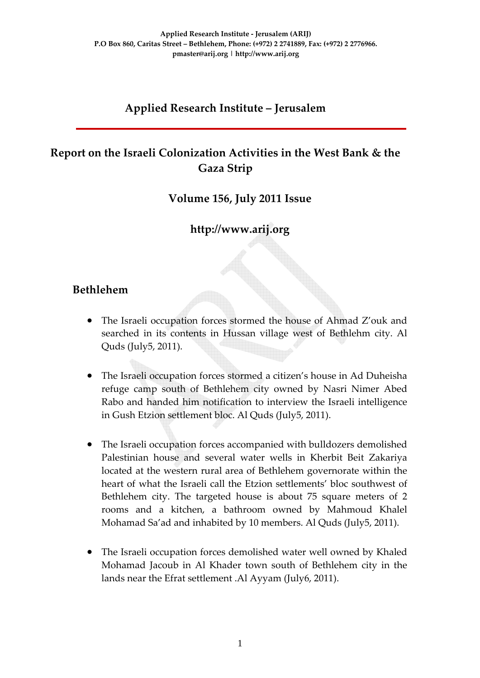#### **Applied Research Institute – Jerusalem**

## **Report on the Israeli Colonization Activities in the West Bank & the Gaza Strip**

**Volume 156, July 2011 Issue**

**http://www.arij.org**

#### **Bethlehem**

- The Israeli occupation forces stormed the house of Ahmad Z'ouk and searched in its contents in Hussan village west of Bethlehm city. Al Quds (July5, 2011).
- The Israeli occupation forces stormed a citizen's house in Ad Duheisha refuge camp south of Bethlehem city owned by Nasri Nimer Abed Rabo and handed him notification to interview the Israeli intelligence in Gush Etzion settlement bloc. Al Quds (July5, 2011).
- The Israeli occupation forces accompanied with bulldozers demolished Palestinian house and several water wells in Kherbit Beit Zakariya located at the western rural area of Bethlehem governorate within the heart of what the Israeli call the Etzion settlements' bloc southwest of Bethlehem city. The targeted house is about 75 square meters of 2 rooms and a kitchen, a bathroom owned by Mahmoud Khalel Mohamad Sa'ad and inhabited by 10 members. Al Quds (July5, 2011).
- The Israeli occupation forces demolished water well owned by Khaled Mohamad Jacoub in Al Khader town south of Bethlehem city in the lands near the Efrat settlement .Al Ayyam (July6, 2011).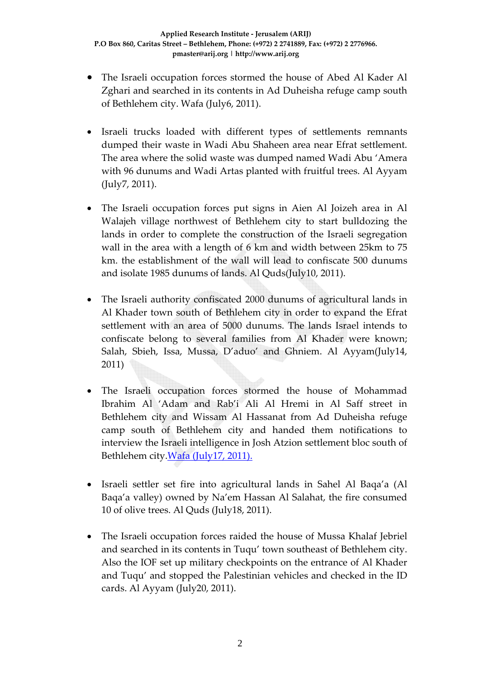- The Israeli occupation forces stormed the house of Abed Al Kader Al Zghari and searched in its contents in Ad Duheisha refuge camp south of Bethlehem city. Wafa (July6, 2011).
- Israeli trucks loaded with different types of settlements remnants dumped their waste in Wadi Abu Shaheen area near Efrat settlement. The area where the solid waste was dumped named Wadi Abu 'Amera with 96 dunums and Wadi Artas planted with fruitful trees. Al Ayyam (July7, 2011).
- The Israeli occupation forces put signs in Aien Al Joizeh area in Al Walajeh village northwest of Bethlehem city to start bulldozing the lands in order to complete the construction of the Israeli segregation wall in the area with a length of 6 km and width between 25km to 75 km. the establishment of the wall will lead to confiscate 500 dunums and isolate 1985 dunums of lands. Al Quds(July10, 2011).
- The Israeli authority confiscated 2000 dunums of agricultural lands in Al Khader town south of Bethlehem city in order to expand the Efrat settlement with an area of 5000 dunums. The lands Israel intends to confiscate belong to several families from Al Khader were known; Salah, Sbieh, Issa, Mussa, D'aduo' and Ghniem. Al Ayyam(July14, 2011)
- The Israeli occupation forces stormed the house of Mohammad Ibrahim Al 'Adam and Rab'i Ali Al Hremi in Al Saff street in Bethlehem city and Wissam Al Hassanat from Ad Duheisha refuge camp south of Bethlehem city and handed them notifications to interview the Israeli intelligence in Josh Atzion settlement bloc south of Bethlehem city. Wafa [\(July17,](http://www.wafa.ps/arabic/index.php?action=detail&id=109398) 2011).
- Israeli settler set fire into agricultural lands in Sahel Al Baqa'a (Al Baqa'a valley) owned by Na'em Hassan Al Salahat, the fire consumed 10 of olive trees. Al Quds (July18, 2011).
- The Israeli occupation forces raided the house of Mussa Khalaf Jebriel and searched in its contents in Tuqu' town southeast of Bethlehem city. Also the IOF set up military checkpoints on the entrance of Al Khader and Tuqu' and stopped the Palestinian vehicles and checked in the ID cards. Al Ayyam (July20, 2011).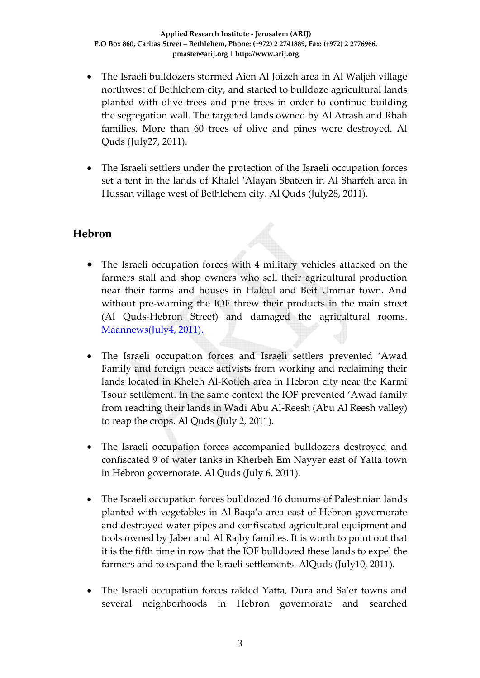- The Israeli bulldozers stormed Aien Al Joizeh area in Al Waljeh village northwest of Bethlehem city, and started to bulldoze agricultural lands planted with olive trees and pine trees in order to continue building the segregation wall. The targeted lands owned by Al Atrash and Rbah families. More than 60 trees of olive and pines were destroyed. Al Quds (July27, 2011).
- The Israeli settlers under the protection of the Israeli occupation forces set a tent in the lands of Khalel 'Alayan Sbateen in Al Sharfeh area in Hussan village west of Bethlehem city. Al Quds (July28, 2011).

## **Hebron**

- The Israeli occupation forces with 4 military vehicles attacked on the farmers stall and shop owners who sell their agricultural production near their farms and houses in Haloul and Beit Ummar town. And without pre-warning the IOF threw their products in the main street (Al Quds‐Hebron Street) and damaged the agricultural rooms. [Maannews\(July4,](http://www.maannews.net/arb/ViewDetails.aspx?ID=402111) 2011).
- The Israeli occupation forces and Israeli settlers prevented 'Awad Family and foreign peace activists from working and reclaiming their lands located in Kheleh Al‐Kotleh area in Hebron city near the Karmi Tsour settlement. In the same context the IOF prevented 'Awad family from reaching their lands in Wadi Abu Al‐Reesh (Abu Al Reesh valley) to reap the crops. Al Quds (July 2, 2011).
- The Israeli occupation forces accompanied bulldozers destroyed and confiscated 9 of water tanks in Kherbeh Em Nayyer east of Yatta town in Hebron governorate. Al Quds (July 6, 2011).
- The Israeli occupation forces bulldozed 16 dunums of Palestinian lands planted with vegetables in Al Baqa'a area east of Hebron governorate and destroyed water pipes and confiscated agricultural equipment and tools owned by Jaber and Al Rajby families. It is worth to point out that it is the fifth time in row that the IOF bulldozed these lands to expel the farmers and to expand the Israeli settlements. AlQuds (July10, 2011).
- The Israeli occupation forces raided Yatta, Dura and Sa'er towns and several neighborhoods in Hebron governorate and searched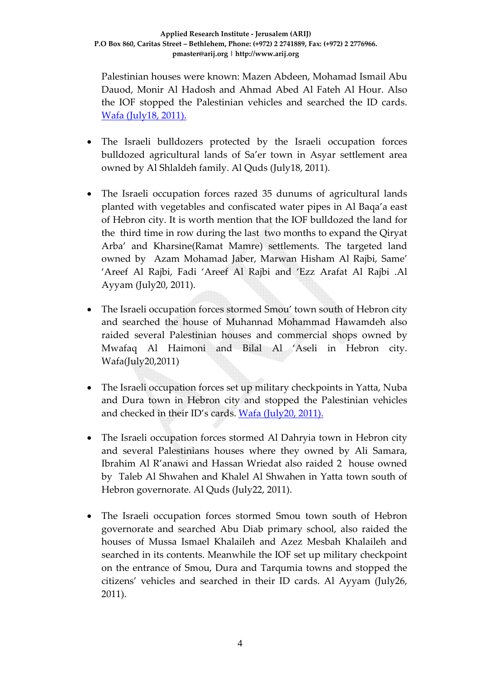Palestinian houses were known: Mazen Abdeen, Mohamad Ismail Abu Dauod, Monir Al Hadosh and Ahmad Abed Al Fateh Al Hour. Also the IOF stopped the Palestinian vehicles and searched the ID cards. Wafa [\(July18,](http://www.wafa.ps/arabic/index.php?action=detail&id=109464) 2011).

- The Israeli bulldozers protected by the Israeli occupation forces bulldozed agricultural lands of Sa'er town in Asyar settlement area owned by Al Shlaldeh family. Al Quds (July18, 2011).
- The Israeli occupation forces razed 35 dunums of agricultural lands planted with vegetables and confiscated water pipes in Al Baqa'a east of Hebron city. It is worth mention that the IOF bulldozed the land for the third time in row during the last two months to expand the Qiryat Arba' and Kharsine(Ramat Mamre) settlements. The targeted land owned by Azam Mohamad Jaber, Marwan Hisham Al Rajbi, Same' 'Areef Al Rajbi, Fadi 'Areef Al Rajbi and 'Ezz Arafat Al Rajbi .Al Ayyam (July20, 2011).
- The Israeli occupation forces stormed Smou' town south of Hebron city and searched the house of Muhannad Mohammad Hawamdeh also raided several Palestinian houses and commercial shops owned by Mwafaq Al Haimoni and Bilal Al 'Aseli in Hebron city. Wafa(July20,2011)
- The Israeli occupation forces set up military checkpoints in Yatta, Nuba and Dura town in Hebron city and stopped the Palestinian vehicles and checked in their ID's cards. Wafa [\(July20,](http://www.wafa.ps/arabic/index.php?action=detail&id=109614) 2011).
- The Israeli occupation forces stormed Al Dahryia town in Hebron city and several Palestinians houses where they owned by Ali Samara, Ibrahim Al R'anawi and Hassan Wriedat also raided 2 house owned by Taleb Al Shwahen and Khalel Al Shwahen in Yatta town south of Hebron governorate. Al Quds (July22, 2011).
- The Israeli occupation forces stormed Smou town south of Hebron governorate and searched Abu Diab primary school, also raided the houses of Mussa Ismael Khalaileh and Azez Mesbah Khalaileh and searched in its contents. Meanwhile the IOF set up military checkpoint on the entrance of Smou, Dura and Tarqumia towns and stopped the citizens' vehicles and searched in their ID cards. Al Ayyam (July26, 2011).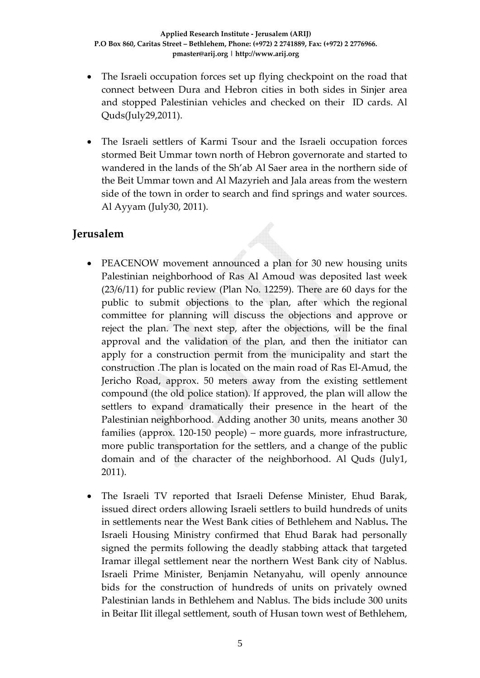- The Israeli occupation forces set up flying checkpoint on the road that connect between Dura and Hebron cities in both sides in Sinjer area and stopped Palestinian vehicles and checked on their ID cards. Al Quds(July29,2011).
- The Israeli settlers of Karmi Tsour and the Israeli occupation forces stormed Beit Ummar town north of Hebron governorate and started to wandered in the lands of the Sh'ab Al Saer area in the northern side of the Beit Ummar town and Al Mazyrieh and Jala areas from the western side of the town in order to search and find springs and water sources. Al Ayyam (July30, 2011).

#### **Jerusalem**

- PEACENOW movement announced a plan for 30 new housing units Palestinian neighborhood of Ras Al Amoud was deposited last week (23/6/11) for public review (Plan No. 12259). There are 60 days for the public to submit objections to the plan, after which the regional committee for planning will discuss the objections and approve or reject the plan. The next step, after the objections, will be the final approval and the validation of the plan, and then the initiator can apply for a construction permit from the municipality and start the construction .The plan is located on the main road of Ras El‐Amud, the Jericho Road, approx. 50 meters away from the existing settlement compound (the old police station). If approved, the plan will allow the settlers to expand dramatically their presence in the heart of the Palestinian neighborhood. Adding another 30 units, means another 30 families (approx. 120‐150 people) – more guards, more infrastructure, more public transportation for the settlers, and a change of the public domain and of the character of the neighborhood. Al Quds (July1, 2011).
- The Israeli TV reported that Israeli Defense Minister, Ehud Barak, issued direct orders allowing Israeli settlers to build hundreds of units in settlements near the West Bank cities of Bethlehem and Nablus**.** The Israeli Housing Ministry confirmed that Ehud Barak had personally signed the permits following the deadly stabbing attack that targeted Iramar illegal settlement near the northern West Bank city of Nablus. Israeli Prime Minister, Benjamin Netanyahu, will openly announce bids for the construction of hundreds of units on privately owned Palestinian lands in Bethlehem and Nablus. The bids include 300 units in Beitar Ilit illegal settlement, south of Husan town west of Bethlehem,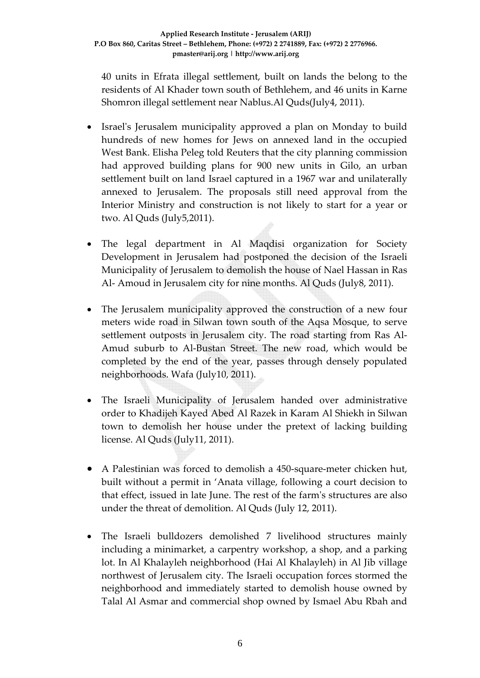40 units in Efrata illegal settlement, built on lands the belong to the residents of Al Khader town south of Bethlehem, and 46 units in Karne Shomron illegal settlement near Nablus.Al Quds(July4, 2011).

- Israel's Jerusalem municipality approved a plan on Monday to build hundreds of new homes for Jews on annexed land in the occupied West Bank. Elisha Peleg told Reuters that the city planning commission had approved building plans for 900 new units in Gilo, an urban settlement built on land Israel captured in a 1967 war and unilaterally annexed to Jerusalem. The proposals still need approval from the Interior Ministry and construction is not likely to start for a year or two. Al Quds (July5,2011).
- The legal department in Al Maqdisi organization for Society Development in Jerusalem had postponed the decision of the Israeli Municipality of Jerusalem to demolish the house of Nael Hassan in Ras Al‐ Amoud in Jerusalem city for nine months. Al Quds (July8, 2011).
- The Jerusalem municipality approved the construction of a new four meters wide road in Silwan town south of the Aqsa Mosque, to serve settlement outposts in Jerusalem city. The road starting from Ras Al-Amud suburb to Al‐Bustan Street. The new road, which would be completed by the end of the year, passes through densely populated neighborhoods. Wafa (July10, 2011).
- The Israeli Municipality of Jerusalem handed over administrative order to Khadijeh Kayed Abed Al Razek in Karam Al Shiekh in Silwan town to demolish her house under the pretext of lacking building license. Al Quds (July11, 2011).
- A Palestinian was forced to demolish a 450-square-meter chicken hut, built without a permit in 'Anata village, following a court decision to that effect, issued in late June. The rest of the farmʹs structures are also under the threat of demolition. Al Quds (July 12, 2011).
- The Israeli bulldozers demolished 7 livelihood structures mainly including a minimarket, a carpentry workshop, a shop, and a parking lot. In Al Khalayleh neighborhood (Hai Al Khalayleh) in Al Jib village northwest of Jerusalem city. The Israeli occupation forces stormed the neighborhood and immediately started to demolish house owned by Talal Al Asmar and commercial shop owned by Ismael Abu Rbah and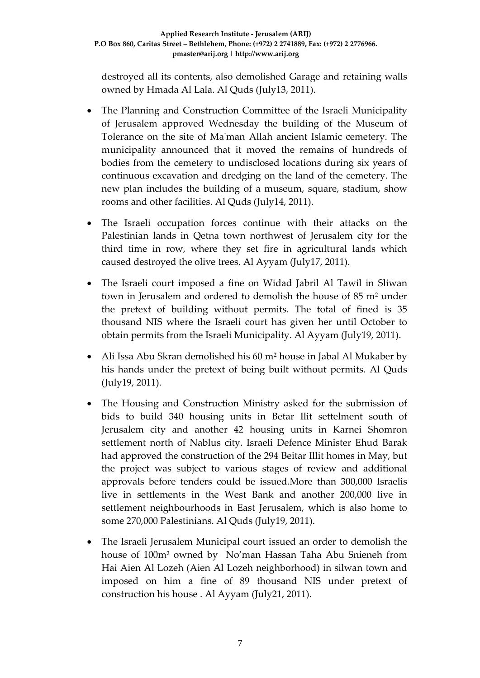destroyed all its contents, also demolished Garage and retaining walls owned by Hmada Al Lala. Al Quds (July13, 2011).

- The Planning and Construction Committee of the Israeli Municipality of Jerusalem approved Wednesday the building of the Museum of Tolerance on the site of Maʹman Allah ancient Islamic cemetery. The municipality announced that it moved the remains of hundreds of bodies from the cemetery to undisclosed locations during six years of continuous excavation and dredging on the land of the cemetery. The new plan includes the building of a museum, square, stadium, show rooms and other facilities. Al Quds (July14, 2011).
- The Israeli occupation forces continue with their attacks on the Palestinian lands in Qetna town northwest of Jerusalem city for the third time in row, where they set fire in agricultural lands which caused destroyed the olive trees. Al Ayyam (July17, 2011).
- The Israeli court imposed a fine on Widad Jabril Al Tawil in Sliwan town in Jerusalem and ordered to demolish the house of 85 m² under the pretext of building without permits. The total of fined is 35 thousand NIS where the Israeli court has given her until October to obtain permits from the Israeli Municipality. Al Ayyam (July19, 2011).
- Ali Issa Abu Skran demolished his 60 m<sup>2</sup> house in Jabal Al Mukaber by his hands under the pretext of being built without permits. Al Quds (July19, 2011).
- The Housing and Construction Ministry asked for the submission of bids to build 340 housing units in Betar Ilit settelment south of Jerusalem city and another 42 housing units in Karnei Shomron settlement north of Nablus city. Israeli Defence Minister Ehud Barak had approved the construction of the 294 Beitar Illit homes in May, but the project was subject to various stages of review and additional approvals before tenders could be issued.More than 300,000 Israelis live in settlements in the West Bank and another 200,000 live in settlement neighbourhoods in East Jerusalem, which is also home to some 270,000 Palestinians. Al Quds (July19, 2011).
- The Israeli Jerusalem Municipal court issued an order to demolish the house of 100m<sup>2</sup> owned by No'man Hassan Taha Abu Snieneh from Hai Aien Al Lozeh (Aien Al Lozeh neighborhood) in silwan town and imposed on him a fine of 89 thousand NIS under pretext of construction his house . Al Ayyam (July21, 2011).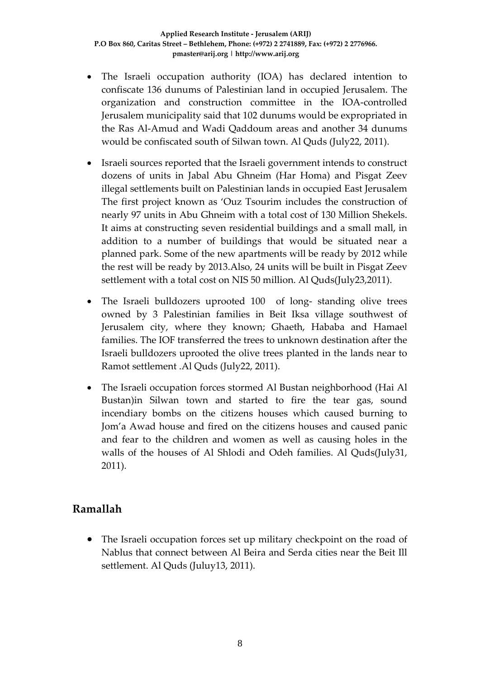- The Israeli occupation authority (IOA) has declared intention to confiscate 136 dunums of Palestinian land in occupied Jerusalem. The organization and construction committee in the IOA‐controlled Jerusalem municipality said that 102 dunums would be expropriated in the Ras Al‐Amud and Wadi Qaddoum areas and another 34 dunums would be confiscated south of Silwan town. Al Quds (July22, 2011).
- Israeli sources reported that the Israeli government intends to construct dozens of units in Jabal Abu Ghneim (Har Homa) and Pisgat Zeev illegal settlements built on Palestinian lands in occupied East Jerusalem The first project known as 'Ouz Tsourim includes the construction of nearly 97 units in Abu Ghneim with a total cost of 130 Million Shekels. It aims at constructing seven residential buildings and a small mall, in addition to a number of buildings that would be situated near a planned park. Some of the new apartments will be ready by 2012 while the rest will be ready by 2013.Also, 24 units will be built in Pisgat Zeev settlement with a total cost on NIS 50 million. Al Quds(July23,2011).
- The Israeli bulldozers uprooted 100 of long-standing olive trees owned by 3 Palestinian families in Beit Iksa village southwest of Jerusalem city, where they known; Ghaeth, Hababa and Hamael families. The IOF transferred the trees to unknown destination after the Israeli bulldozers uprooted the olive trees planted in the lands near to Ramot settlement .Al Quds (July22, 2011).
- The Israeli occupation forces stormed Al Bustan neighborhood (Hai Al Bustan)in Silwan town and started to fire the tear gas, sound incendiary bombs on the citizens houses which caused burning to Jom'a Awad house and fired on the citizens houses and caused panic and fear to the children and women as well as causing holes in the walls of the houses of Al Shlodi and Odeh families. Al Quds(July31, 2011).

#### **Ramallah**

• The Israeli occupation forces set up military checkpoint on the road of Nablus that connect between Al Beira and Serda cities near the Beit Ill settlement. Al Quds (Juluy13, 2011).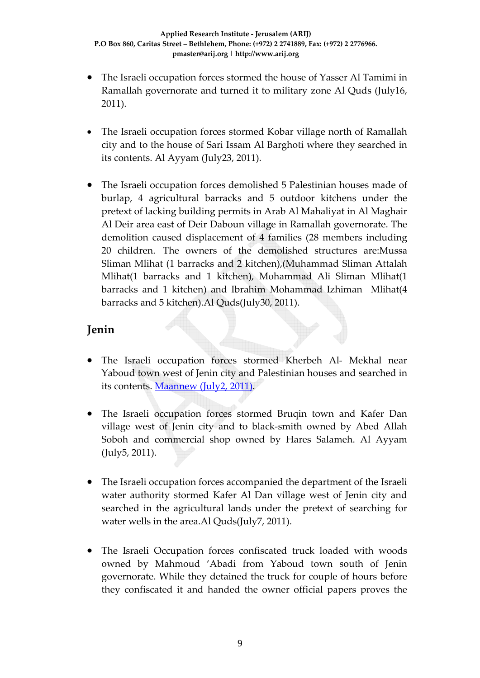- The Israeli occupation forces stormed the house of Yasser Al Tamimi in Ramallah governorate and turned it to military zone Al Quds (July16, 2011).
- The Israeli occupation forces stormed Kobar village north of Ramallah city and to the house of Sari Issam Al Barghoti where they searched in its contents. Al Ayyam (July23, 2011).
- The Israeli occupation forces demolished 5 Palestinian houses made of burlap, 4 agricultural barracks and 5 outdoor kitchens under the pretext of lacking building permits in Arab Al Mahaliyat in Al Maghair Al Deir area east of Deir Daboun village in Ramallah governorate. The demolition caused displacement of 4 families (28 members including 20 children. The owners of the demolished structures are:Mussa Sliman Mlihat (1 barracks and 2 kitchen),(Muhammad Sliman Attalah Mlihat(1 barracks and 1 kitchen), Mohammad Ali Sliman Mlihat(1 barracks and 1 kitchen) and Ibrahim Mohammad Izhiman Mlihat(4 barracks and 5 kitchen).Al Quds(July30, 2011).

## **Jenin**

- The Israeli occupation forces stormed Kherbeh Al- Mekhal near Yaboud town west of Jenin city and Palestinian houses and searched in its contents. [Maannew](http://www.maannews.net/arb/ViewDetails.aspx?ID=401547) (July2, 2011).
- The Israeli occupation forces stormed Bruqin town and Kafer Dan village west of Jenin city and to black‐smith owned by Abed Allah Soboh and commercial shop owned by Hares Salameh. Al Ayyam (July5, 2011).
- The Israeli occupation forces accompanied the department of the Israeli water authority stormed Kafer Al Dan village west of Jenin city and searched in the agricultural lands under the pretext of searching for water wells in the area.Al Quds(July7, 2011).
- The Israeli Occupation forces confiscated truck loaded with woods owned by Mahmoud 'Abadi from Yaboud town south of Jenin governorate. While they detained the truck for couple of hours before they confiscated it and handed the owner official papers proves the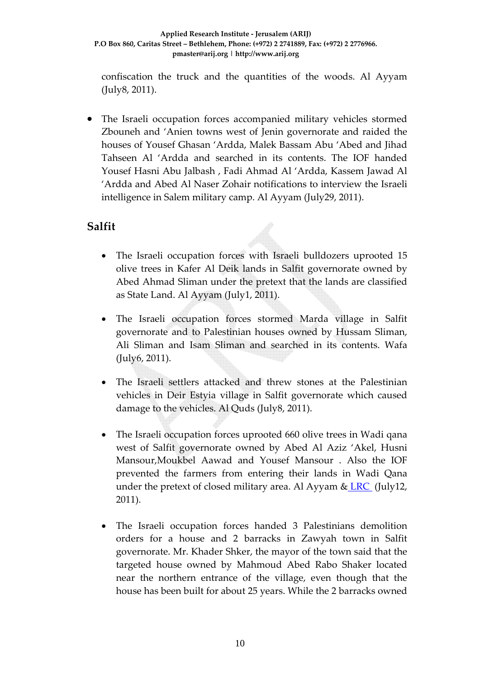confiscation the truck and the quantities of the woods. Al Ayyam (July8, 2011).

• The Israeli occupation forces accompanied military vehicles stormed Zbouneh and 'Anien towns west of Jenin governorate and raided the houses of Yousef Ghasan 'Ardda, Malek Bassam Abu 'Abed and Jihad Tahseen Al 'Ardda and searched in its contents. The IOF handed Yousef Hasni Abu Jalbash , Fadi Ahmad Al 'Ardda, Kassem Jawad Al 'Ardda and Abed Al Naser Zohair notifications to interview the Israeli intelligence in Salem military camp. Al Ayyam (July29, 2011).

#### **Salfit**

- The Israeli occupation forces with Israeli bulldozers uprooted 15 olive trees in Kafer Al Deik lands in Salfit governorate owned by Abed Ahmad Sliman under the pretext that the lands are classified as State Land. Al Ayyam (July1, 2011).
- The Israeli occupation forces stormed Marda village in Salfit governorate and to Palestinian houses owned by Hussam Sliman, Ali Sliman and Isam Sliman and searched in its contents. Wafa (July6, 2011).
- The Israeli settlers attacked and threw stones at the Palestinian vehicles in Deir Estyia village in Salfit governorate which caused damage to the vehicles. Al Quds (July8, 2011).
- The Israeli occupation forces uprooted 660 olive trees in Wadi qana west of Salfit governorate owned by Abed Al Aziz 'Akel, Husni Mansour,Moukbel Aawad and Yousef Mansour . Also the IOF prevented the farmers from entering their lands in Wadi Qana under the pretext of closed military area. Al Ayyam &  $LRC$  (July12, 2011).
- The Israeli occupation forces handed 3 Palestinians demolition orders for a house and 2 barracks in Zawyah town in Salfit governorate. Mr. Khader Shker, the mayor of the town said that the targeted house owned by Mahmoud Abed Rabo Shaker located near the northern entrance of the village, even though that the house has been built for about 25 years. While the 2 barracks owned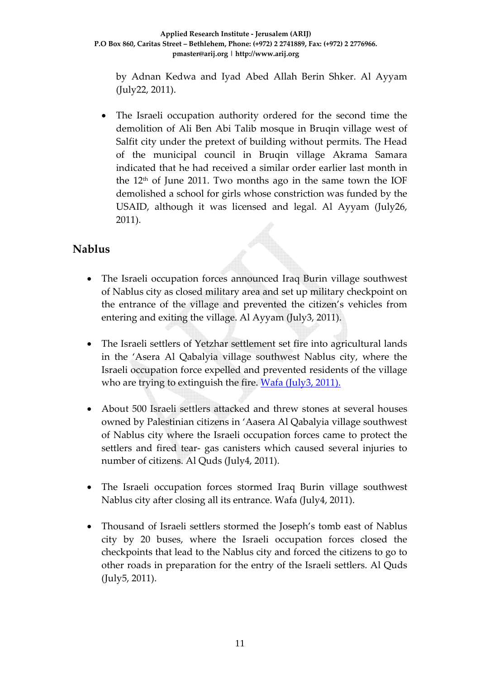by Adnan Kedwa and Iyad Abed Allah Berin Shker. Al Ayyam (July22, 2011).

The Israeli occupation authority ordered for the second time the demolition of Ali Ben Abi Talib mosque in Bruqin village west of Salfit city under the pretext of building without permits. The Head of the municipal council in Bruqin village Akrama Samara indicated that he had received a similar order earlier last month in the  $12<sup>th</sup>$  of June 2011. Two months ago in the same town the IOF demolished a school for girls whose constriction was funded by the USAID, although it was licensed and legal. Al Ayyam (July26, 2011).

## **Nablus**

- The Israeli occupation forces announced Iraq Burin village southwest of Nablus city as closed military area and set up military checkpoint on the entrance of the village and prevented the citizen's vehicles from entering and exiting the village. Al Ayyam (July3, 2011).
- The Israeli settlers of Yetzhar settlement set fire into agricultural lands in the 'Asera Al Qabalyia village southwest Nablus city, where the Israeli occupation force expelled and prevented residents of the village who are trying to extinguish the fire. Wafa [\(July3,](http://www.wafa.ps/arabic/index.php?action=detail&id=108513) 2011).
- About 500 Israeli settlers attacked and threw stones at several houses owned by Palestinian citizens in 'Aasera Al Qabalyia village southwest of Nablus city where the Israeli occupation forces came to protect the settlers and fired tear- gas canisters which caused several injuries to number of citizens. Al Quds (July4, 2011).
- The Israeli occupation forces stormed Iraq Burin village southwest Nablus city after closing all its entrance. Wafa (July4, 2011).
- Thousand of Israeli settlers stormed the Joseph's tomb east of Nablus city by 20 buses, where the Israeli occupation forces closed the checkpoints that lead to the Nablus city and forced the citizens to go to other roads in preparation for the entry of the Israeli settlers. Al Quds (July5, 2011).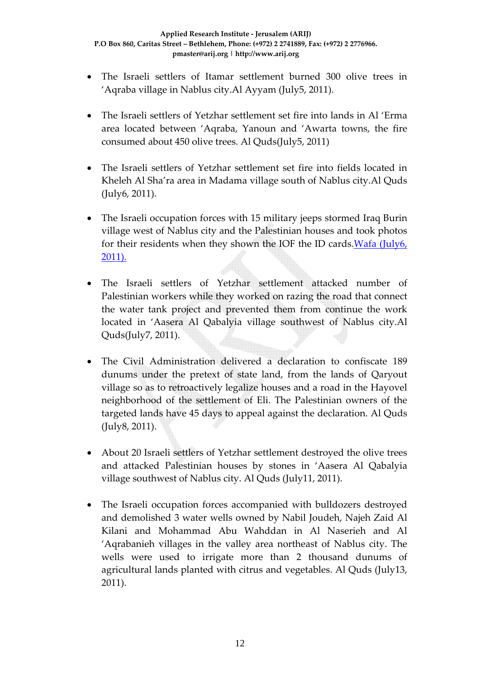- The Israeli settlers of Itamar settlement burned 300 olive trees in 'Aqraba village in Nablus city.Al Ayyam (July5, 2011).
- The Israeli settlers of Yetzhar settlement set fire into lands in Al 'Erma area located between 'Aqraba, Yanoun and 'Awarta towns, the fire consumed about 450 olive trees. Al Quds(July5, 2011)
- The Israeli settlers of Yetzhar settlement set fire into fields located in Kheleh Al Sha'ra area in Madama village south of Nablus city.Al Quds (July6, 2011).
- The Israeli occupation forces with 15 military jeeps stormed Iraq Burin village west of Nablus city and the Palestinian houses and took photos for their residents when they shown the IOF the ID cards. Wafa  $(July 6, 100)$ [2011\).](http://www.wafa.ps/arabic/index.php?action=detail&id=108698)
- The Israeli settlers of Yetzhar settlement attacked number of Palestinian workers while they worked on razing the road that connect the water tank project and prevented them from continue the work located in 'Aasera Al Qabalyia village southwest of Nablus city.Al Quds(July7, 2011).
- The Civil Administration delivered a declaration to confiscate 189 dunums under the pretext of state land, from the lands of Qaryout village so as to retroactively legalize houses and a road in the Hayovel neighborhood of the settlement of Eli. The Palestinian owners of the targeted lands have 45 days to appeal against the declaration. Al Quds (July8, 2011).
- About 20 Israeli settlers of Yetzhar settlement destroyed the olive trees and attacked Palestinian houses by stones in 'Aasera Al Qabalyia village southwest of Nablus city. Al Quds (July11, 2011).
- The Israeli occupation forces accompanied with bulldozers destroyed and demolished 3 water wells owned by Nabil Joudeh, Najeh Zaid Al Kilani and Mohammad Abu Wahddan in Al Naserieh and Al 'Aqrabanieh villages in the valley area northeast of Nablus city. The wells were used to irrigate more than 2 thousand dunums of agricultural lands planted with citrus and vegetables. Al Quds (July13, 2011).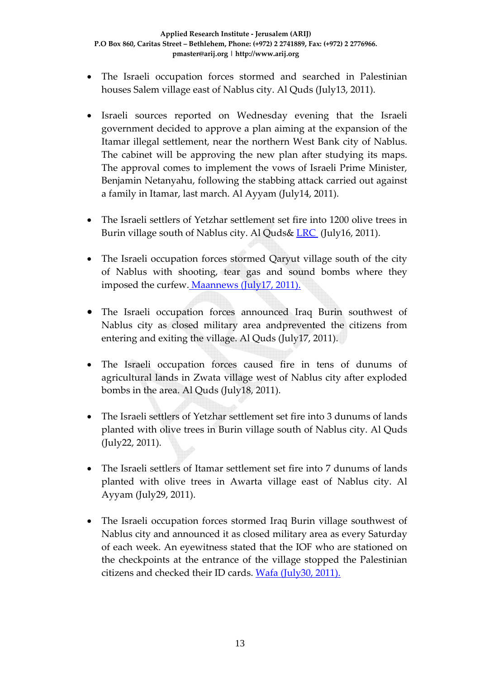- The Israeli occupation forces stormed and searched in Palestinian houses Salem village east of Nablus city. Al Quds (July13, 2011).
- Israeli sources reported on Wednesday evening that the Israeli government decided to approve a plan aiming at the expansion of the Itamar illegal settlement, near the northern West Bank city of Nablus. The cabinet will be approving the new plan after studying its maps. The approval comes to implement the vows of Israeli Prime Minister, Benjamin Netanyahu, following the stabbing attack carried out against a family in Itamar, last march. Al Ayyam (July14, 2011).
- The Israeli settlers of Yetzhar settlement set fire into 1200 olive trees in Burin village south of Nablus city. Al Quds& [LRC](http://poica.org/editor/case_studies/view.php?recordID=3381) (July16, 2011).
- The Israeli occupation forces stormed Qaryut village south of the city of Nablus with shooting, tear gas and sound bombs where they imposed the curfew. [Maannews](http://www.maannews.net/arb/ViewDetails.aspx?ID=406091) (July17, 2011).
- The Israeli occupation forces announced Iraq Burin southwest of Nablus city as closed military area andprevented the citizens from entering and exiting the village. Al Quds (July17, 2011).
- The Israeli occupation forces caused fire in tens of dunums of agricultural lands in Zwata village west of Nablus city after exploded bombs in the area. Al Quds (July18, 2011).
- The Israeli settlers of Yetzhar settlement set fire into 3 dunums of lands planted with olive trees in Burin village south of Nablus city. Al Quds (July22, 2011).
- The Israeli settlers of Itamar settlement set fire into 7 dunums of lands planted with olive trees in Awarta village east of Nablus city. Al Ayyam (July29, 2011).
- The Israeli occupation forces stormed Iraq Burin village southwest of Nablus city and announced it as closed military area as every Saturday of each week. An eyewitness stated that the IOF who are stationed on the checkpoints at the entrance of the village stopped the Palestinian citizens and checked their ID cards. Wafa [\(July30,](http://www.wafa.ps/arabic/index.php?action=detail&id=110324) 2011).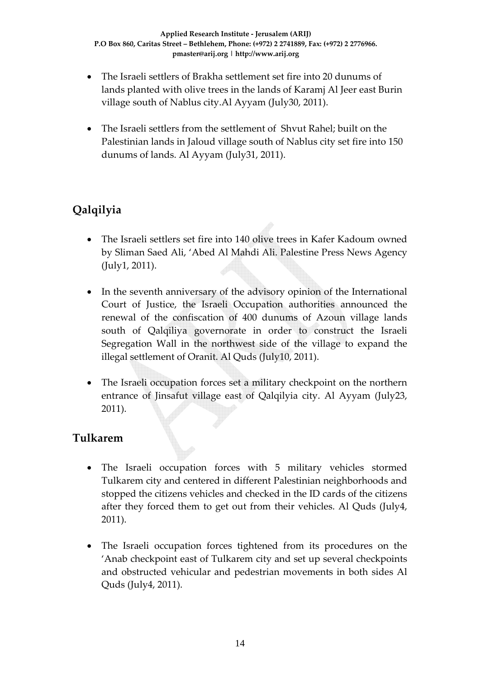- The Israeli settlers of Brakha settlement set fire into 20 dunums of lands planted with olive trees in the lands of Karamj Al Jeer east Burin village south of Nablus city.Al Ayyam (July30, 2011).
- The Israeli settlers from the settlement of Shvut Rahel; built on the Palestinian lands in Jaloud village south of Nablus city set fire into 150 dunums of lands. Al Ayyam (July31, 2011).

# **Qalqilyia**

- The Israeli settlers set fire into 140 olive trees in Kafer Kadoum owned by Sliman Saed Ali, 'Abed Al Mahdi Ali. Palestine Press News Agency (July1, 2011).
- In the seventh anniversary of the advisory opinion of the International Court of Justice, the Israeli Occupation authorities announced the renewal of the confiscation of 400 dunums of Azoun village lands south of Qalqiliya governorate in order to construct the Israeli Segregation Wall in the northwest side of the village to expand the illegal settlement of Oranit. Al Quds (July10, 2011).
- The Israeli occupation forces set a military checkpoint on the northern entrance of Jinsafut village east of Qalqilyia city. Al Ayyam (July23, 2011).

## **Tulkarem**

- The Israeli occupation forces with 5 military vehicles stormed Tulkarem city and centered in different Palestinian neighborhoods and stopped the citizens vehicles and checked in the ID cards of the citizens after they forced them to get out from their vehicles. Al Quds (July4, 2011).
- The Israeli occupation forces tightened from its procedures on the 'Anab checkpoint east of Tulkarem city and set up several checkpoints and obstructed vehicular and pedestrian movements in both sides Al Quds (July4, 2011).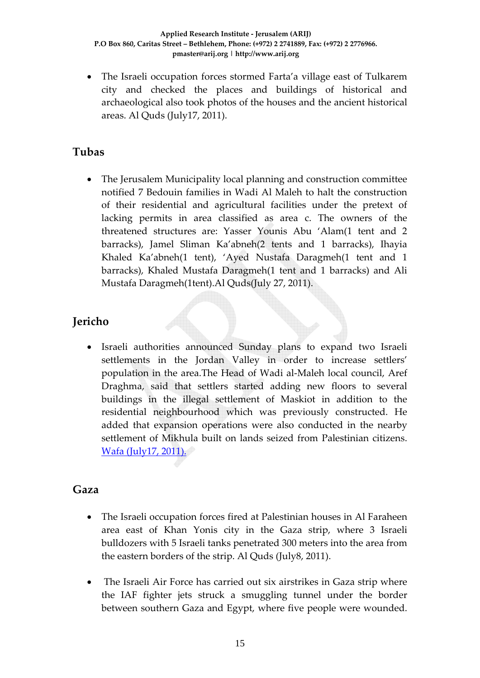• The Israeli occupation forces stormed Farta'a village east of Tulkarem city and checked the places and buildings of historical and archaeological also took photos of the houses and the ancient historical areas. Al Quds (July17, 2011).

#### **Tubas**

• The Jerusalem Municipality local planning and construction committee notified 7 Bedouin families in Wadi Al Maleh to halt the construction of their residential and agricultural facilities under the pretext of lacking permits in area classified as area c. The owners of the threatened structures are: Yasser Younis Abu 'Alam(1 tent and 2 barracks), Jamel Sliman Ka'abneh(2 tents and 1 barracks), Ihayia Khaled Ka'abneh(1 tent), 'Ayed Nustafa Daragmeh(1 tent and 1 barracks), Khaled Mustafa Daragmeh(1 tent and 1 barracks) and Ali Mustafa Daragmeh(1tent).Al Quds(July 27, 2011).

# **Jericho**

• Israeli authorities announced Sunday plans to expand two Israeli settlements in the Jordan Valley in order to increase settlers' population in the area.The Head of Wadi al‐Maleh local council, Aref Draghma, said that settlers started adding new floors to several buildings in the illegal settlement of Maskiot in addition to the residential neighbourhood which was previously constructed. He added that expansion operations were also conducted in the nearby settlement of Mikhula built on lands seized from Palestinian citizens. Wafa [\(July17,](http://www.wafa.ps/arabic/index.php?action=detail&id=109405) 2011).

#### **Gaza**

- The Israeli occupation forces fired at Palestinian houses in Al Faraheen area east of Khan Yonis city in the Gaza strip, where 3 Israeli bulldozers with 5 Israeli tanks penetrated 300 meters into the area from the eastern borders of the strip. Al Quds (July8, 2011).
- The Israeli Air Force has carried out six airstrikes in Gaza strip where the IAF fighter jets struck a smuggling tunnel under the border between southern Gaza and Egypt, where five people were wounded.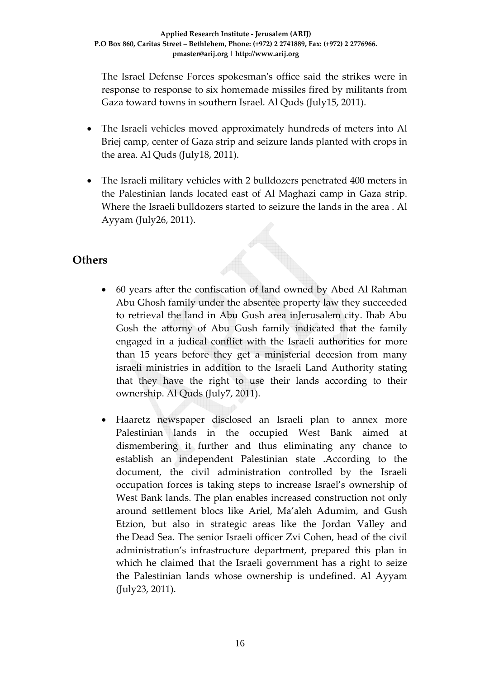The Israel Defense Forces spokesmanʹs office said the strikes were in response to response to six homemade missiles fired by militants from Gaza toward towns in southern Israel. Al Quds (July15, 2011).

- The Israeli vehicles moved approximately hundreds of meters into Al Briej camp, center of Gaza strip and seizure lands planted with crops in the area. Al Quds (July18, 2011).
- The Israeli military vehicles with 2 bulldozers penetrated 400 meters in the Palestinian lands located east of Al Maghazi camp in Gaza strip. Where the Israeli bulldozers started to seizure the lands in the area . Al Ayyam (July26, 2011).

#### **Others**

- 60 years after the confiscation of land owned by Abed Al Rahman Abu Ghosh family under the absentee property law they succeeded to retrieval the land in Abu Gush area inJerusalem city. Ihab Abu Gosh the attorny of Abu Gush family indicated that the family engaged in a judical conflict with the Israeli authorities for more than 15 years before they get a ministerial decesion from many israeli ministries in addition to the Israeli Land Authority stating that they have the right to use their lands according to their ownership. Al Quds (July7, 2011).
- Haaretz newspaper disclosed an Israeli plan to annex more Palestinian lands in the occupied West Bank aimed at dismembering it further and thus eliminating any chance to establish an independent Palestinian state .According to the document, the civil administration controlled by the Israeli occupation forces is taking steps to increase Israel's ownership of West Bank lands. The plan enables increased construction not only around settlement blocs like Ariel, Ma'aleh Adumim, and Gush Etzion, but also in strategic areas like the Jordan Valley and the Dead Sea. The senior Israeli officer Zvi Cohen, head of the civil administration's infrastructure department, prepared this plan in which he claimed that the Israeli government has a right to seize the Palestinian lands whose ownership is undefined. Al Ayyam (July23, 2011).